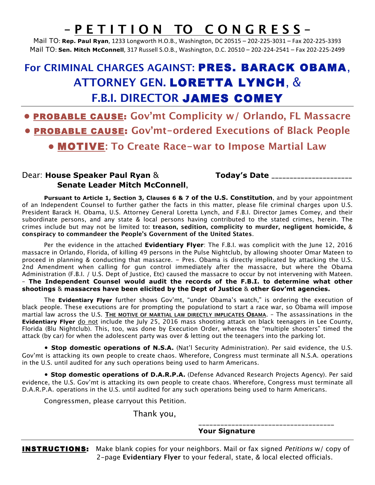# **– P E T I T I O N TO C O N G R E S S –**

Mail TO: **Rep. Paul Ryan**, 1233 Longworth H.O.B., Washington, DC 20515 – 202‐225‐3031 – Fax 202‐225‐3393 Mail TO: **Sen. Mitch McConnell**, 317 Russell S.O.B., Washington, D.C. 20510 – 202‐224‐2541 – Fax 202‐225‐2499

# **For CRIMINAL CHARGES AGAINST:** PRES. BARACK OBAMA, **ATTORNEY GEN.** LORETTA LYNCH, & **F.B.I. DIRECTOR** JAMES COMEY

**•** PROBABLE CAUSE: **Gov'mt Complicity w/ Orlando, FL Massacre •** PROBABLE CAUSE: **Gov'mt-ordered Executions of Black People •** MOTIVE**: To Create Race-war to Impose Martial Law**

### Dear: **House Speaker Paul Ryan** & **Today's Date \_\_\_\_\_\_\_\_\_\_\_\_\_\_\_\_\_\_\_\_\_\_ Senate Leader Mitch McConnell**,

**Pursuant to Article 1, Section 3, Clauses 6 & 7 of the U.S. Constitution**, and by your appointment of an Independent Counsel to further gather the facts in this matter, please file criminal charges upon U.S. President Barack H. Obama, U.S. Attorney General Loretta Lynch, and F.B.I. Director James Comey, and their subordinate persons, and any state & local persons having contributed to the stated crimes, herein. The crimes include but may not be limited to**: treason, sedition, complicity to murder, negligent homicide,** & **conspiracy to commandeer the People's Government of the United States**.

Per the evidence in the attached **Evidentiary Flyer**: The F.B.I. was complicit with the June 12, 2016 massacre in Orlando, Florida, of killing 49 persons in the Pulse Nightclub, by allowing shooter Omar Mateen to proceed in planning & conducting that massacre. – Pres. Obama is directly implicated by attacking the U.S. 2nd Amendment when calling for gun control immediately after the massacre, but where the Obama Administration (F.B.I. / U.S. Dept of Justice, Etc) caused the massacre to occur by not intervening with Mateen. – **The Independent Counsel would audit the records of the F.B.I. to determine what other shootings** & **massacres have been elicited by the Dept of Justice** & **other Gov'mt agencies.**

The **Evidentiary Flyer** further shows Gov'mt, "under Obama's watch," is ordering the execution of black people. These executions are for prompting the populationd to start a race war, so Obama will impose martial law across the U.S. **THE MOTIVE OF MARTIAL LAW DIRECTLY IMPLICATES OBAMA**. – The assassinations in the **Evidentiary Flyer** do not include the July 25, 2016 mass shooting attack on black teenagers in Lee County, Florida (Blu Nightclub). This, too, was done by Execution Order, whereas the "multiple shooters" timed the attack (by car) for when the adolescent party was over & letting out the teenagers into the parking lot.

• **Stop domestic operations of N.S.A.** (Nat'l Security Administration). Per said evidence, the U.S. Gov'mt is attacking its own people to create chaos. Wherefore, Congress must terminate all N.S.A. operations in the U.S. until audited for any such operations being used to harm Americans.

• **Stop domestic operations of D.A.R.P.A.** (Defense Advanced Research Projects Agency). Per said evidence, the U.S. Gov'mt is attacking its own people to create chaos. Wherefore, Congress must terminate all D.A.R.P.A. operations in the U.S. until audited for any such operations being used to harm Americans.

Congressmen, please carryout this Petition.

Thank you,

#### **Your Signature**

\_\_\_\_\_\_\_\_\_\_\_\_\_\_\_\_\_\_\_\_\_\_\_\_\_\_\_\_\_\_\_\_\_\_\_\_\_

**INSTRUCTIONS:** Make blank copies for your neighbors. Mail or fax signed *Petitions* w/ copy of 2-page **Evidentiary Flyer** to your federal, state, & local elected officials.